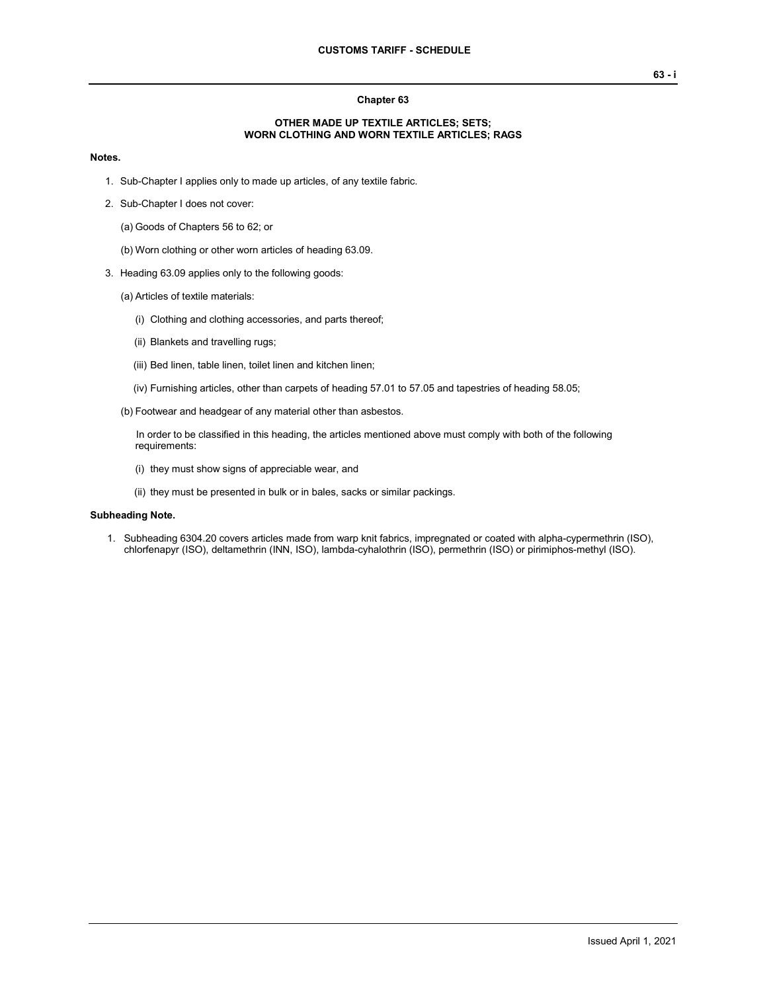## **Chapter 63**

## **OTHER MADE UP TEXTILE ARTICLES; SETS; WORN CLOTHING AND WORN TEXTILE ARTICLES; RAGS**

## **Notes.**

- 1. Sub-Chapter I applies only to made up articles, of any textile fabric.
- 2. Sub-Chapter I does not cover:
	- (a) Goods of Chapters 56 to 62; or
	- (b) Worn clothing or other worn articles of heading 63.09.
- 3. Heading 63.09 applies only to the following goods:
	- (a) Articles of textile materials:
		- (i) Clothing and clothing accessories, and parts thereof;
		- (ii) Blankets and travelling rugs;
		- (iii) Bed linen, table linen, toilet linen and kitchen linen;
		- (iv) Furnishing articles, other than carpets of heading 57.01 to 57.05 and tapestries of heading 58.05;
	- (b) Footwear and headgear of any material other than asbestos.

In order to be classified in this heading, the articles mentioned above must comply with both of the following requirements:

- (i) they must show signs of appreciable wear, and
- (ii) they must be presented in bulk or in bales, sacks or similar packings.

# **Subheading Note.**

1. Subheading 6304.20 covers articles made from warp knit fabrics, impregnated or coated with alpha-cypermethrin (ISO), chlorfenapyr (ISO), deltamethrin (INN, ISO), lambda-cyhalothrin (ISO), permethrin (ISO) or pirimiphos-methyl (ISO).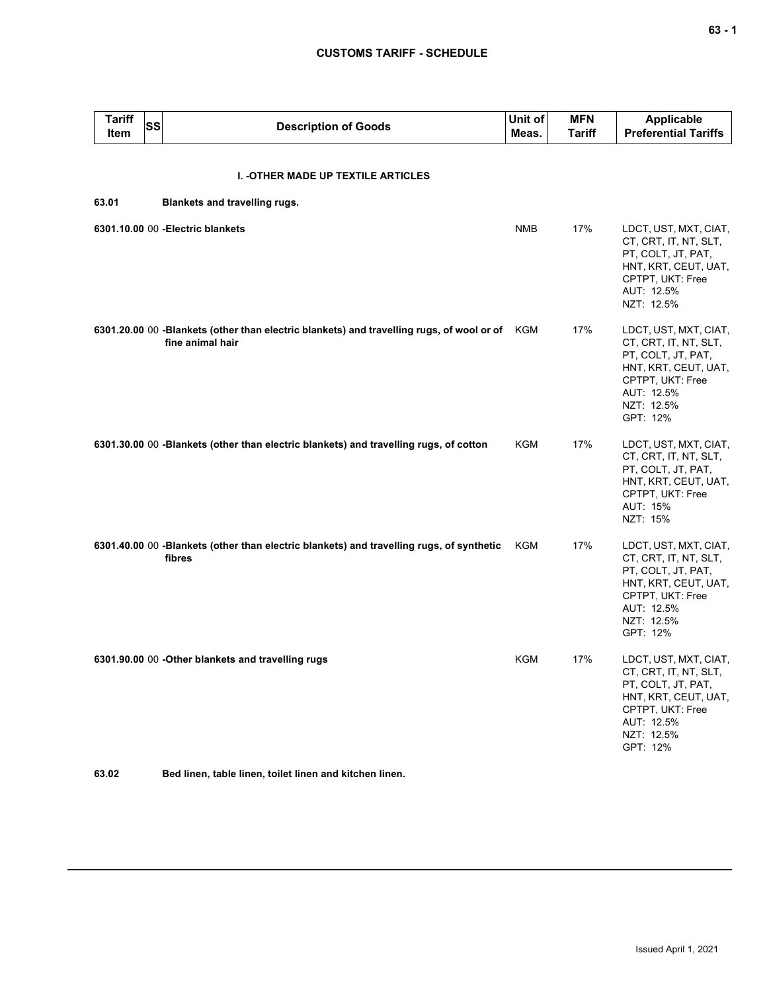# **CUSTOMS TARIFF - SCHEDULE**

| <b>Tariff</b><br>Item | <b>SS</b> | <b>Description of Goods</b>                                                                                       | Unit of<br>Meas. | <b>MFN</b><br><b>Tariff</b> | <b>Applicable</b><br><b>Preferential Tariffs</b>                                                                                                         |
|-----------------------|-----------|-------------------------------------------------------------------------------------------------------------------|------------------|-----------------------------|----------------------------------------------------------------------------------------------------------------------------------------------------------|
|                       |           | I. - OTHER MADE UP TEXTILE ARTICLES                                                                               |                  |                             |                                                                                                                                                          |
| 63.01                 |           | Blankets and travelling rugs.                                                                                     |                  |                             |                                                                                                                                                          |
|                       |           | 6301.10.00 00 - Electric blankets                                                                                 | <b>NMB</b>       | 17%                         | LDCT, UST, MXT, CIAT,<br>CT, CRT, IT, NT, SLT,<br>PT, COLT, JT, PAT,<br>HNT, KRT, CEUT, UAT,<br>CPTPT, UKT: Free<br>AUT: 12.5%<br>NZT: 12.5%             |
|                       |           | 6301.20.00 00 -Blankets (other than electric blankets) and travelling rugs, of wool or of KGM<br>fine animal hair |                  | 17%                         | LDCT, UST, MXT, CIAT,<br>CT, CRT, IT, NT, SLT,<br>PT, COLT, JT, PAT,<br>HNT, KRT, CEUT, UAT,<br>CPTPT, UKT: Free<br>AUT: 12.5%<br>NZT: 12.5%<br>GPT: 12% |
|                       |           | 6301.30.00 00 -Blankets (other than electric blankets) and travelling rugs, of cotton                             | KGM              | 17%                         | LDCT, UST, MXT, CIAT,<br>CT, CRT, IT, NT, SLT,<br>PT, COLT, JT, PAT,<br>HNT, KRT, CEUT, UAT,<br>CPTPT, UKT: Free<br>AUT: 15%<br>NZT: 15%                 |
|                       |           | 6301.40.00 00 -Blankets (other than electric blankets) and travelling rugs, of synthetic<br>fibres                | KGM              | 17%                         | LDCT, UST, MXT, CIAT,<br>CT, CRT, IT, NT, SLT,<br>PT, COLT, JT, PAT,<br>HNT, KRT, CEUT, UAT,<br>CPTPT, UKT: Free<br>AUT: 12.5%<br>NZT: 12.5%<br>GPT: 12% |
|                       |           | 6301.90.00 00 - Other blankets and travelling rugs                                                                | KGM              | 17%                         | LDCT, UST, MXT, CIAT,<br>CI, CRI, II, NI, SLI,<br>PT, COLT, JT, PAT,<br>HNT, KRT, CEUT, UAT,<br>CPTPT, UKT: Free<br>AUT: 12.5%<br>NZT: 12.5%<br>GPT: 12% |

**63.02 Bed linen, table linen, toilet linen and kitchen linen.**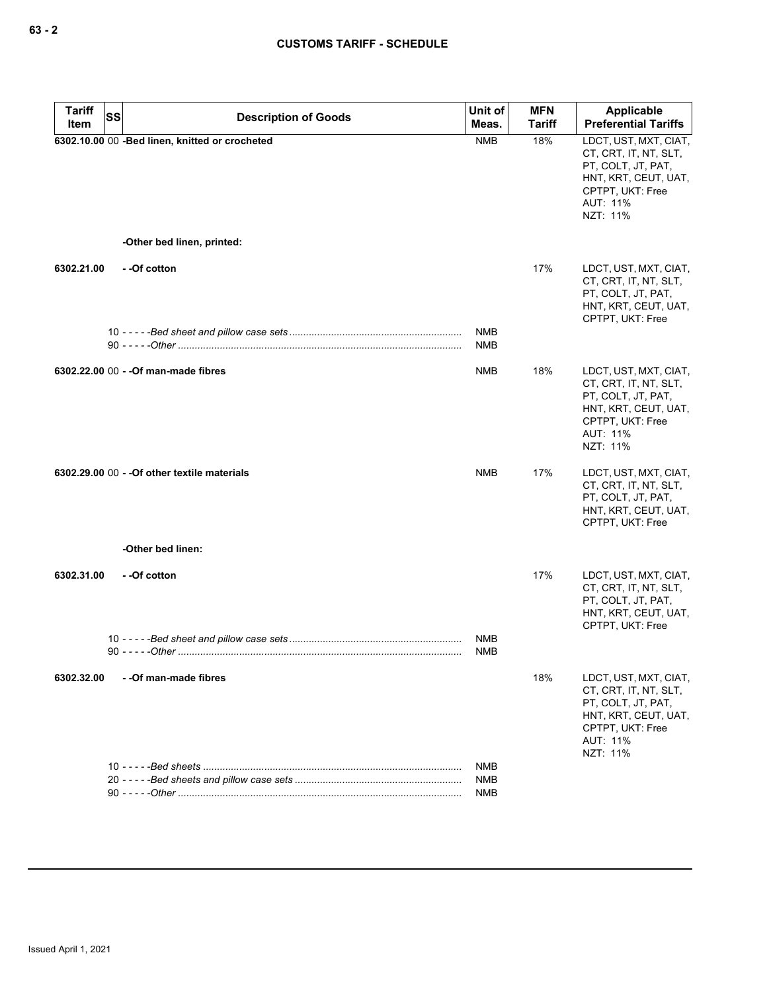| <b>Tariff</b><br>Item | SS | <b>Description of Goods</b>                    | Unit of<br>Meas.         | <b>MFN</b><br><b>Tariff</b> | Applicable<br><b>Preferential Tariffs</b>                                                                                                |
|-----------------------|----|------------------------------------------------|--------------------------|-----------------------------|------------------------------------------------------------------------------------------------------------------------------------------|
|                       |    | 6302.10.00 00 -Bed linen, knitted or crocheted | <b>NMB</b>               | 18%                         | LDCT, UST, MXT, CIAT,<br>CT, CRT, IT, NT, SLT,<br>PT, COLT, JT, PAT,<br>HNT, KRT, CEUT, UAT,<br>CPTPT, UKT: Free<br>AUT: 11%<br>NZT: 11% |
|                       |    | -Other bed linen, printed:                     |                          |                             |                                                                                                                                          |
| 6302.21.00            |    | --Of cotton                                    |                          | 17%                         | LDCT, UST, MXT, CIAT,<br>CT, CRT, IT, NT, SLT,<br>PT, COLT, JT, PAT,<br>HNT, KRT, CEUT, UAT,<br>CPTPT, UKT: Free                         |
|                       |    |                                                | <b>NMB</b><br><b>NMB</b> |                             |                                                                                                                                          |
|                       |    | 6302.22.00 00 - - Of man-made fibres           | <b>NMB</b>               | 18%                         | LDCT, UST, MXT, CIAT,<br>CT, CRT, IT, NT, SLT,<br>PT, COLT, JT, PAT,<br>HNT, KRT, CEUT, UAT,<br>CPTPT, UKT: Free<br>AUT: 11%<br>NZT: 11% |
|                       |    | 6302.29.00 00 - - Of other textile materials   | <b>NMB</b>               | 17%                         | LDCT, UST, MXT, CIAT,<br>CT, CRT, IT, NT, SLT,<br>PT, COLT, JT, PAT,<br>HNT, KRT, CEUT, UAT,<br>CPTPT, UKT: Free                         |
|                       |    | -Other bed linen:                              |                          |                             |                                                                                                                                          |
| 6302.31.00            |    | - -Of cotton                                   | NMB                      | 17%                         | LDCT, UST, MXT, CIAT,<br>CT, CRT, IT, NT, SLT,<br>PT, COLT, JT, PAT,<br>HNT, KRT, CEUT, UAT,<br>CPTPT, UKT: Free                         |
|                       |    |                                                | <b>NMB</b>               |                             |                                                                                                                                          |
| 6302.32.00            |    | - - Of man-made fibres                         |                          | 18%                         | LDCT, UST, MXT, CIAT,<br>CT, CRT, IT, NT, SLT,<br>PT, COLT, JT, PAT,<br>HNT, KRT, CEUT, UAT,<br>CPTPT, UKT: Free<br>AUT: 11%<br>NZT: 11% |
|                       |    |                                                | NMB<br>NMB               |                             |                                                                                                                                          |
|                       |    |                                                | NMB                      |                             |                                                                                                                                          |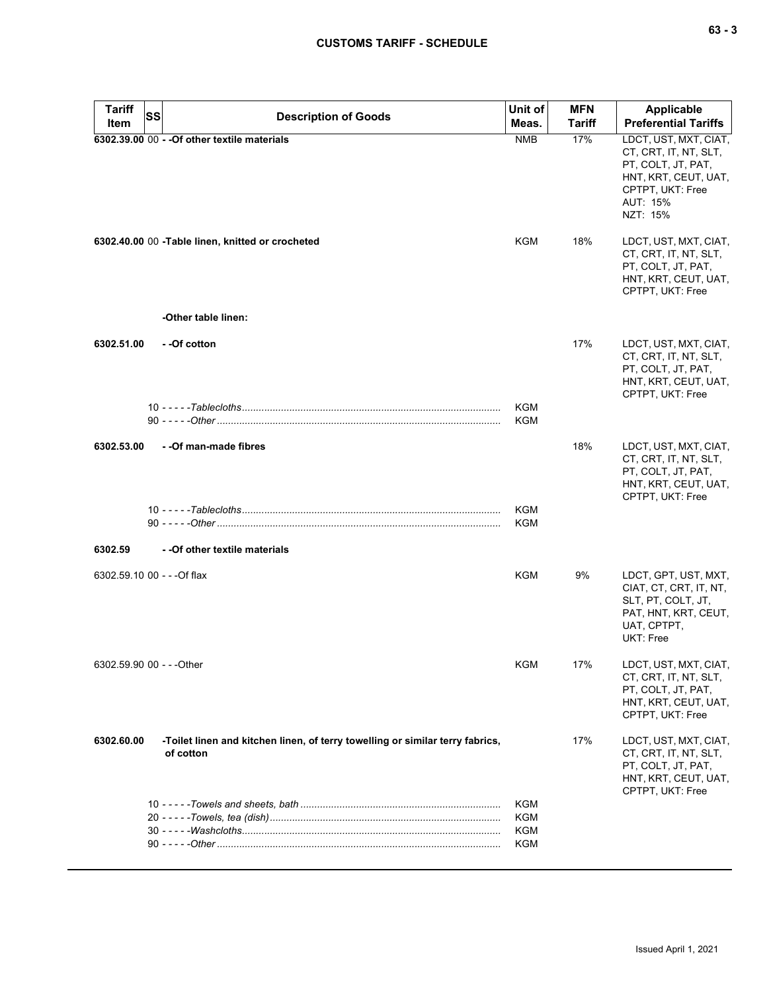| <b>Tariff</b>               | SS | <b>Description of Goods</b>                                                                | Unit of                  | <b>MFN</b>    | <b>Applicable</b>                                                                                                                        |
|-----------------------------|----|--------------------------------------------------------------------------------------------|--------------------------|---------------|------------------------------------------------------------------------------------------------------------------------------------------|
| Item                        |    |                                                                                            | Meas.                    | <b>Tariff</b> | <b>Preferential Tariffs</b>                                                                                                              |
|                             |    | 6302.39.00 00 - - Of other textile materials                                               | <b>NMB</b>               | 17%           | LDCT, UST, MXT, CIAT,<br>CT, CRT, IT, NT, SLT,<br>PT, COLT, JT, PAT,<br>HNT, KRT, CEUT, UAT,<br>CPTPT, UKT: Free<br>AUT: 15%<br>NZT: 15% |
|                             |    | 6302.40.00 00 - Table linen, knitted or crocheted                                          | KGM                      | 18%           | LDCT, UST, MXT, CIAT,<br>CT, CRT, IT, NT, SLT,<br>PT, COLT, JT, PAT,<br>HNT, KRT, CEUT, UAT,<br>CPTPT, UKT: Free                         |
|                             |    | -Other table linen:                                                                        |                          |               |                                                                                                                                          |
| 6302.51.00                  |    | - -Of cotton                                                                               |                          | 17%           | LDCT, UST, MXT, CIAT,<br>CT, CRT, IT, NT, SLT,<br>PT, COLT, JT, PAT,<br>HNT, KRT, CEUT, UAT,<br>CPTPT, UKT: Free                         |
|                             |    |                                                                                            | <b>KGM</b><br>KGM        |               |                                                                                                                                          |
| 6302.53.00                  |    | - - Of man-made fibres                                                                     |                          | 18%           | LDCT, UST, MXT, CIAT,<br>CT, CRT, IT, NT, SLT,<br>PT, COLT, JT, PAT,<br>HNT, KRT, CEUT, UAT,<br>CPTPT, UKT: Free                         |
|                             |    |                                                                                            | <b>KGM</b><br><b>KGM</b> |               |                                                                                                                                          |
| 6302.59                     |    | - - Of other textile materials                                                             |                          |               |                                                                                                                                          |
| 6302.59.10 00 - - - Of flax |    |                                                                                            | KGM                      | 9%            | LDCT, GPT, UST, MXT,<br>CIAT, CT, CRT, IT, NT,<br>SLT, PT, COLT, JT,<br>PAT, HNT, KRT, CEUT,<br>UAT, CPTPT,<br><b>UKT: Free</b>          |
| 6302.59.90 00 - - -Other    |    |                                                                                            | KGM                      | 17%           | LDCT, UST, MXT, CIAT,<br>CT, CRT, IT, NT, SLT,<br>PT, COLT, JT, PAT,<br>HNT, KRT, CEUT, UAT,<br>CPTPT, UKT: Free                         |
| 6302.60.00                  |    | -Toilet linen and kitchen linen, of terry towelling or similar terry fabrics,<br>of cotton |                          | 17%           | LDCT, UST, MXT, CIAT,<br>CT, CRT, IT, NT, SLT,<br>PT, COLT, JT, PAT,<br>HNT, KRT, CEUT, UAT,<br>CPTPT, UKT: Free                         |
|                             |    |                                                                                            | KGM<br>KGM               |               |                                                                                                                                          |
|                             |    |                                                                                            | KGM<br>KGM               |               |                                                                                                                                          |
|                             |    |                                                                                            |                          |               |                                                                                                                                          |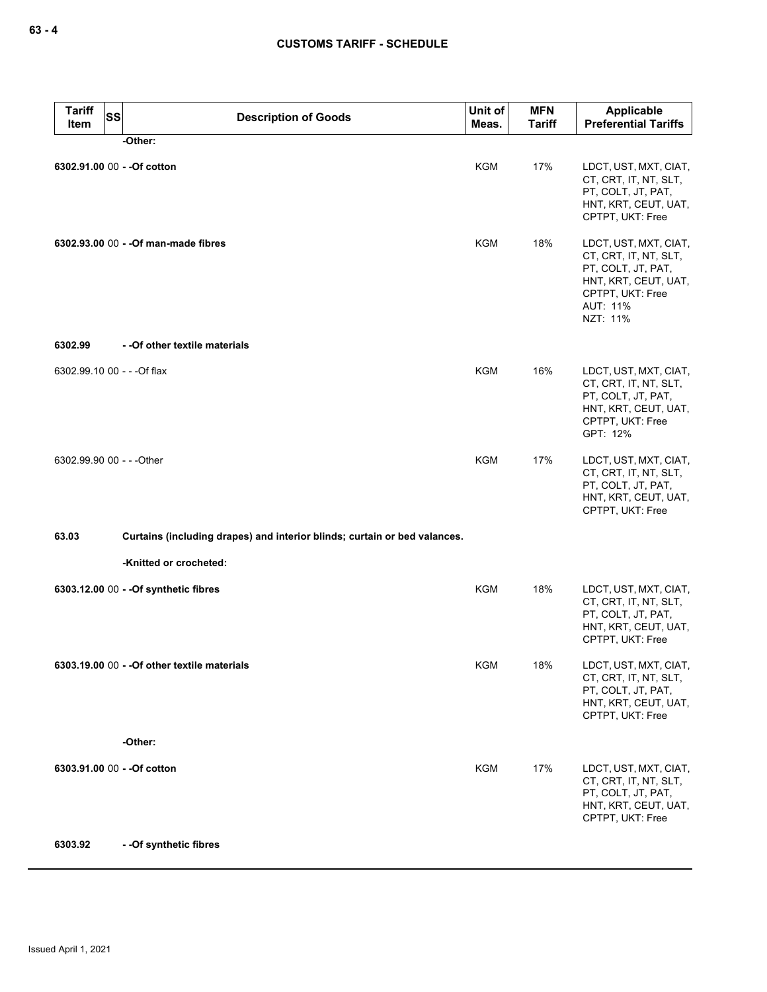| <b>Tariff</b><br><b>SS</b><br>Item | <b>Description of Goods</b>                                               | Unit of<br>Meas. | <b>MFN</b><br><b>Tariff</b> | Applicable<br><b>Preferential Tariffs</b>                                                                                                |
|------------------------------------|---------------------------------------------------------------------------|------------------|-----------------------------|------------------------------------------------------------------------------------------------------------------------------------------|
|                                    | -Other:                                                                   |                  |                             |                                                                                                                                          |
|                                    | 6302.91.00 00 - - Of cotton                                               | <b>KGM</b>       | 17%                         | LDCT, UST, MXT, CIAT,<br>CT, CRT, IT, NT, SLT,<br>PT, COLT, JT, PAT,<br>HNT, KRT, CEUT, UAT,<br>CPTPT, UKT: Free                         |
|                                    | 6302.93.00 00 - - Of man-made fibres                                      | <b>KGM</b>       | 18%                         | LDCT, UST, MXT, CIAT,<br>CT, CRT, IT, NT, SLT,<br>PT, COLT, JT, PAT,<br>HNT, KRT, CEUT, UAT,<br>CPTPT, UKT: Free<br>AUT: 11%<br>NZT: 11% |
| 6302.99                            | - - Of other textile materials                                            |                  |                             |                                                                                                                                          |
| 6302.99.10 00 - - - Of flax        |                                                                           | <b>KGM</b>       | 16%                         | LDCT, UST, MXT, CIAT,<br>CT, CRT, IT, NT, SLT,<br>PT, COLT, JT, PAT,<br>HNT, KRT, CEUT, UAT,<br>CPTPT, UKT: Free<br>GPT: 12%             |
| 6302.99.90 00 - - - Other          |                                                                           | <b>KGM</b>       | 17%                         | LDCT, UST, MXT, CIAT,<br>CT, CRT, IT, NT, SLT,<br>PT, COLT, JT, PAT,<br>HNT, KRT, CEUT, UAT,<br>CPTPT, UKT: Free                         |
| 63.03                              | Curtains (including drapes) and interior blinds; curtain or bed valances. |                  |                             |                                                                                                                                          |
|                                    | -Knitted or crocheted:                                                    |                  |                             |                                                                                                                                          |
|                                    | 6303.12.00 00 - - Of synthetic fibres                                     | <b>KGM</b>       | 18%                         | LDCT, UST, MXT, CIAT,<br>CT, CRT, IT, NT, SLT,<br>PT, COLT, JT, PAT,<br>HNT, KRT, CEUT, UAT,<br>CPTPT, UKT: Free                         |
|                                    | 6303.19.00 00 - - Of other textile materials                              | KGM              | 18%                         | LDCT, UST, MXT, CIAT,<br>CT, CRT, IT, NT, SLT,<br>PT, COLT, JT, PAT,<br>HNT, KRT, CEUT, UAT,<br>CPTPT, UKT: Free                         |
|                                    | -Other:                                                                   |                  |                             |                                                                                                                                          |
|                                    | 6303.91.00 00 - - Of cotton                                               | <b>KGM</b>       | 17%                         | LDCT, UST, MXT, CIAT,<br>CT, CRT, IT, NT, SLT,<br>PT, COLT, JT, PAT,<br>HNT, KRT, CEUT, UAT,<br>CPTPT, UKT: Free                         |
| 6303.92                            | - - Of synthetic fibres                                                   |                  |                             |                                                                                                                                          |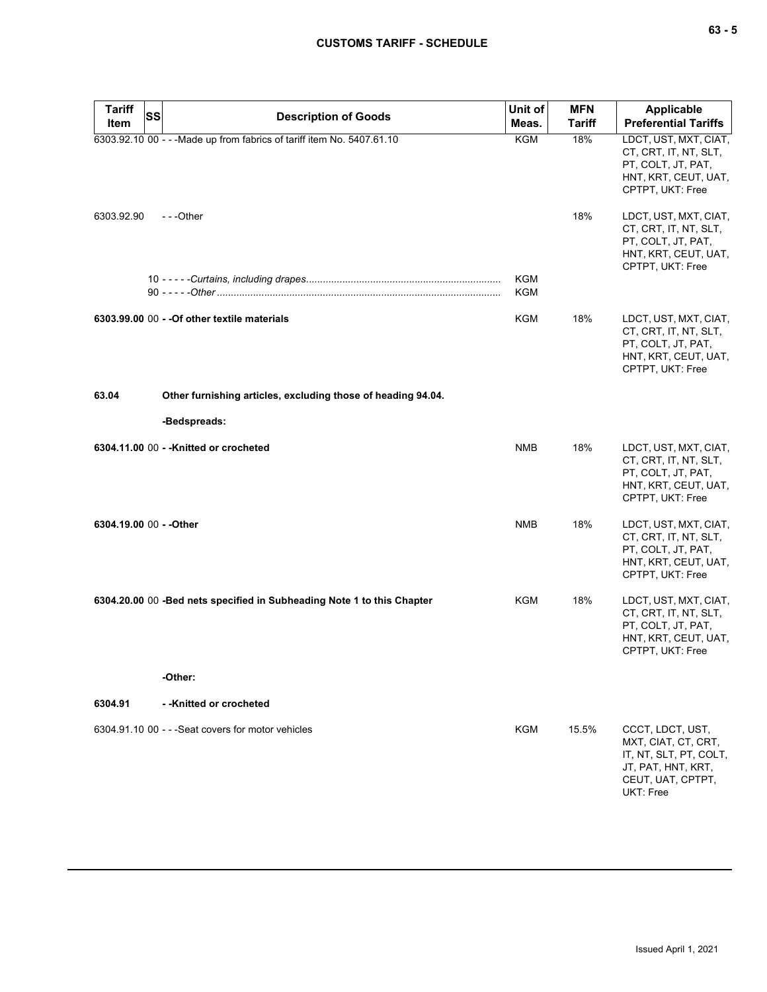| <b>Tariff</b><br><b>SS</b> | <b>Description of Goods</b>                                            | Unit of           | <b>MFN</b>    | Applicable                                                                                                                |
|----------------------------|------------------------------------------------------------------------|-------------------|---------------|---------------------------------------------------------------------------------------------------------------------------|
| Item                       |                                                                        | Meas.             | <b>Tariff</b> | <b>Preferential Tariffs</b>                                                                                               |
|                            | 6303.92.10 00 - - - Made up from fabrics of tariff item No. 5407.61.10 | <b>KGM</b>        | 18%           | LDCT, UST, MXT, CIAT,<br>CT, CRT, IT, NT, SLT,<br>PT, COLT, JT, PAT,<br>HNT, KRT, CEUT, UAT,<br>CPTPT, UKT: Free          |
| 6303.92.90                 | $-$ - -Other                                                           |                   | 18%           | LDCT, UST, MXT, CIAT,<br>CT, CRT, IT, NT, SLT,<br>PT, COLT, JT, PAT,<br>HNT, KRT, CEUT, UAT,<br>CPTPT, UKT: Free          |
|                            |                                                                        | <b>KGM</b><br>KGM |               |                                                                                                                           |
|                            | 6303.99.00 00 - - Of other textile materials                           | KGM               | 18%           | LDCT, UST, MXT, CIAT,<br>CT, CRT, IT, NT, SLT,<br>PT, COLT, JT, PAT,<br>HNT, KRT, CEUT, UAT,<br>CPTPT, UKT: Free          |
| 63.04                      | Other furnishing articles, excluding those of heading 94.04.           |                   |               |                                                                                                                           |
|                            | -Bedspreads:                                                           |                   |               |                                                                                                                           |
|                            | 6304.11.00 00 - - Knitted or crocheted                                 | <b>NMB</b>        | 18%           | LDCT, UST, MXT, CIAT,<br>CT, CRT, IT, NT, SLT,<br>PT, COLT, JT, PAT,<br>HNT, KRT, CEUT, UAT,<br>CPTPT, UKT: Free          |
| 6304.19.00 00 - - Other    |                                                                        | <b>NMB</b>        | 18%           | LDCT, UST, MXT, CIAT,<br>CT, CRT, IT, NT, SLT,<br>PT, COLT, JT, PAT,<br>HNT, KRT, CEUT, UAT,<br>CPTPT, UKT: Free          |
|                            | 6304.20.00 00 -Bed nets specified in Subheading Note 1 to this Chapter | KGM               | 18%           | LDCT, UST, MXT, CIAT,<br>CT, CRT, IT, NT, SLT,<br>PT, COLT, JT, PAT,<br>HNT, KRT, CEUT, UAT,<br>CPTPT, UKT: Free          |
|                            | -Other:                                                                |                   |               |                                                                                                                           |
| 6304.91                    | - -Knitted or crocheted                                                |                   |               |                                                                                                                           |
|                            | 6304.91.10 00 - - - Seat covers for motor vehicles                     | <b>KGM</b>        | 15.5%         | CCCT, LDCT, UST,<br>MXT, CIAT, CT, CRT,<br>IT, NT, SLT, PT, COLT,<br>JT, PAT, HNT, KRT,<br>CEUT, UAT, CPTPT,<br>UKT: Free |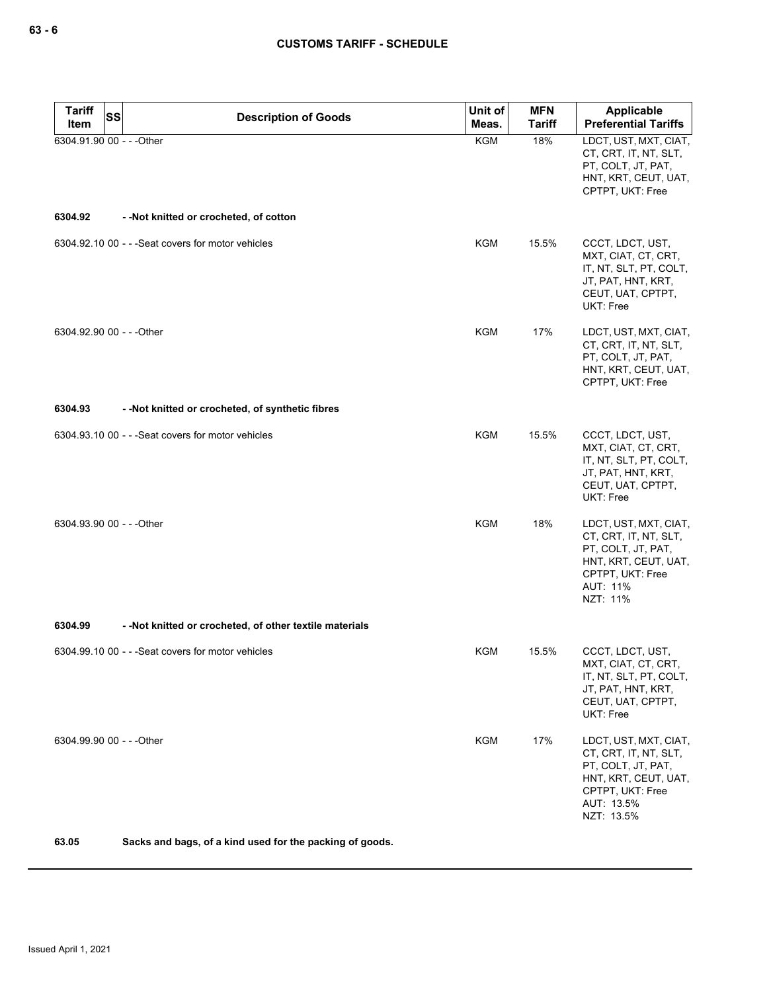| <b>Tariff</b><br><b>SS</b><br>Item | <b>Description of Goods</b>                              | Unit of<br>Meas. | <b>MFN</b><br><b>Tariff</b> | Applicable<br><b>Preferential Tariffs</b>                                                                                                    |
|------------------------------------|----------------------------------------------------------|------------------|-----------------------------|----------------------------------------------------------------------------------------------------------------------------------------------|
| 6304.91.90 00 - - - Other          |                                                          | <b>KGM</b>       | 18%                         | LDCT, UST, MXT, CIAT,<br>CT, CRT, IT, NT, SLT,<br>PT, COLT, JT, PAT,<br>HNT, KRT, CEUT, UAT,<br>CPTPT, UKT: Free                             |
| 6304.92                            | --Not knitted or crocheted, of cotton                    |                  |                             |                                                                                                                                              |
|                                    | 6304.92.10 00 - - - Seat covers for motor vehicles       | KGM              | 15.5%                       | CCCT, LDCT, UST,<br>MXT, CIAT, CT, CRT,<br>IT, NT, SLT, PT, COLT,<br>JT, PAT, HNT, KRT,<br>CEUT, UAT, CPTPT,<br>UKT: Free                    |
| 6304.92.90 00 - - - Other          |                                                          | KGM              | 17%                         | LDCT, UST, MXT, CIAT,<br>CT, CRT, IT, NT, SLT,<br>PT, COLT, JT, PAT,<br>HNT, KRT, CEUT, UAT,<br>CPTPT, UKT: Free                             |
| 6304.93                            | --Not knitted or crocheted, of synthetic fibres          |                  |                             |                                                                                                                                              |
|                                    | 6304.93.10 00 - - - Seat covers for motor vehicles       | <b>KGM</b>       | 15.5%                       | CCCT, LDCT, UST,<br>MXT, CIAT, CT, CRT,<br>IT, NT, SLT, PT, COLT,<br>JT, PAT, HNT, KRT,<br>CEUT, UAT, CPTPT,<br>UKT: Free                    |
| 6304.93.90 00 - - - Other          |                                                          | <b>KGM</b>       | 18%                         | LDCT, UST, MXT, CIAT,<br>CT, CRT, IT, NT, SLT,<br>PT, COLT, JT, PAT,<br>HNT, KRT, CEUT, UAT,<br>CPTPT, UKT: Free<br>AUT: 11%<br>NZT: 11%     |
| 6304.99                            | - - Not knitted or crocheted, of other textile materials |                  |                             |                                                                                                                                              |
|                                    | 6304.99.10 00 - - - Seat covers for motor vehicles       | KGM              | 15.5%                       | CCCT, LDCT, UST,<br>MXT, CIAT, CT, CRT,<br>IT, NT, SLT, PT, COLT,<br>JT, PAT, HNT, KRT,<br>CEUT, UAT, CPTPT,<br>UKT: Free                    |
| 6304.99.90 00 - - - Other          |                                                          | KGM              | 17%                         | LDCT, UST, MXT, CIAT,<br>CT, CRT, IT, NT, SLT,<br>PT, COLT, JT, PAT,<br>HNT, KRT, CEUT, UAT,<br>CPTPT, UKT: Free<br>AUT: 13.5%<br>NZT: 13.5% |
| 63.05                              | Sacks and bags, of a kind used for the packing of goods. |                  |                             |                                                                                                                                              |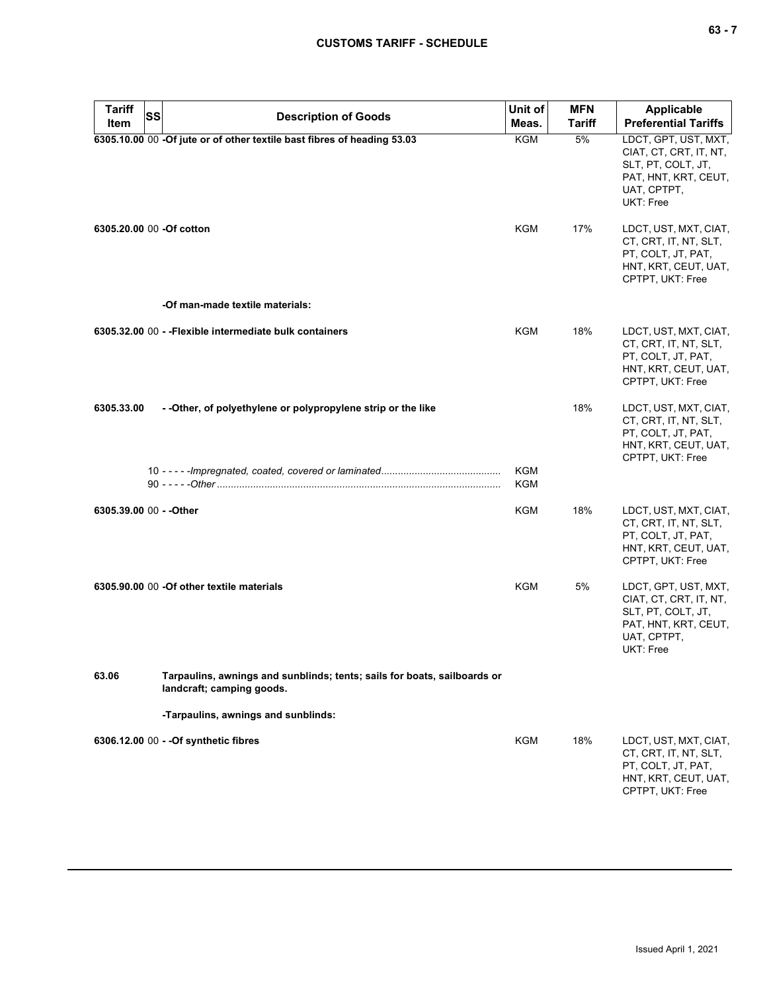| $\sim$<br>., |  |
|--------------|--|
|--------------|--|

| Tariff<br>SS<br>Item     | <b>Description of Goods</b>                                                                           | Unit of<br>Meas.  | <b>MFN</b><br>Tariff | Applicable<br><b>Preferential Tariffs</b>                                                                                |
|--------------------------|-------------------------------------------------------------------------------------------------------|-------------------|----------------------|--------------------------------------------------------------------------------------------------------------------------|
|                          | 6305.10.00 00 -Of jute or of other textile bast fibres of heading 53.03                               | KGM               | 5%                   | LDCT, GPT, UST, MXT,<br>CIAT, CT, CRT, IT, NT,<br>SLT, PT, COLT, JT,<br>PAT, HNT, KRT, CEUT,<br>UAT, CPTPT,<br>UKT: Free |
| 6305.20.00 00 -Of cotton |                                                                                                       | KGM               | 17%                  | LDCT, UST, MXT, CIAT,<br>CT, CRT, IT, NT, SLT,<br>PT, COLT, JT, PAT,<br>HNT, KRT, CEUT, UAT,<br>CPTPT, UKT: Free         |
|                          | -Of man-made textile materials:                                                                       |                   |                      |                                                                                                                          |
|                          | 6305.32.00 00 - - Flexible intermediate bulk containers                                               | KGM               | 18%                  | LDCT, UST, MXT, CIAT,<br>CT, CRT, IT, NT, SLT,<br>PT, COLT, JT, PAT,<br>HNT, KRT, CEUT, UAT,<br>CPTPT, UKT: Free         |
| 6305.33.00               | - - Other, of polyethylene or polypropylene strip or the like                                         |                   | 18%                  | LDCT, UST, MXT, CIAT,<br>CT, CRT, IT, NT, SLT,<br>PT, COLT, JT, PAT,<br>HNT, KRT, CEUT, UAT,<br>CPTPT, UKT: Free         |
|                          |                                                                                                       | <b>KGM</b><br>KGM |                      |                                                                                                                          |
| 6305.39.00 00 - - Other  |                                                                                                       | KGM               | 18%                  | LDCT, UST, MXT, CIAT,<br>CT, CRT, IT, NT, SLT,<br>PT, COLT, JT, PAT,<br>HNT, KRT, CEUT, UAT,<br>CPTPT, UKT: Free         |
|                          | 6305.90.00 00 -Of other textile materials                                                             | KGM               | 5%                   | LDCT, GPT, UST, MXT,<br>CIAT, CT, CRT, IT, NT,<br>SLT, PT, COLT, JT,<br>PAT, HNT, KRT, CEUT,<br>UAT, CPTPT,<br>UKT: Free |
| 63.06                    | Tarpaulins, awnings and sunblinds; tents; sails for boats, sailboards or<br>landcraft; camping goods. |                   |                      |                                                                                                                          |
|                          | -Tarpaulins, awnings and sunblinds:                                                                   |                   |                      |                                                                                                                          |
|                          | 6306.12.00 00 - - Of synthetic fibres                                                                 | KGM               | 18%                  | LDCT, UST, MXT, CIAT,<br>CT, CRT, IT, NT, SLT,<br>PT, COLT, JT, PAT,<br>HNT, KRT, CEUT, UAT,<br>CPTPT, UKT: Free         |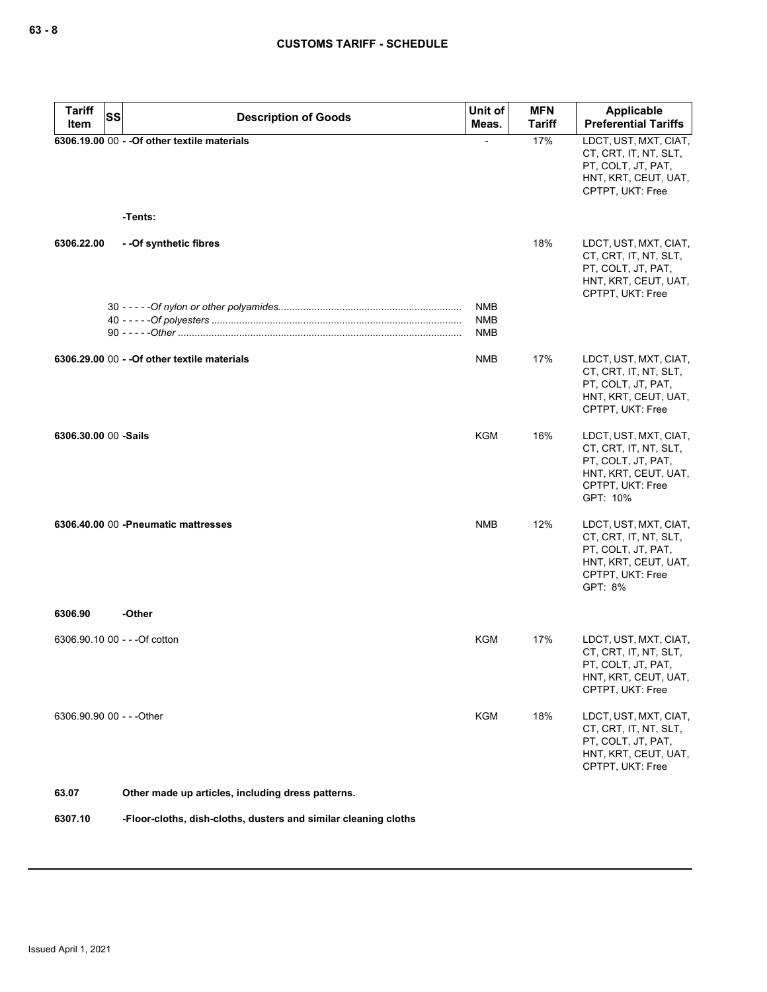| <b>Tariff</b><br>SS<br>Item   | <b>Description of Goods</b>                             | Unit of<br>Meas.  | <b>MFN</b><br><b>Tariff</b> | Applicable<br><b>Preferential Tariffs</b>                                                                                    |
|-------------------------------|---------------------------------------------------------|-------------------|-----------------------------|------------------------------------------------------------------------------------------------------------------------------|
|                               | 6306.19.00 00 - - Of other textile materials<br>-Tents: |                   | 17%                         | LDCT, UST, MXT, CIAT,<br>CT, CRT, IT, NT, SLT,<br>PT, COLT, JT, PAT,<br>HNT, KRT, CEUT, UAT,<br>CPTPT, UKT: Free             |
| 6306.22.00                    | --Of synthetic fibres                                   | <b>NMB</b>        | 18%                         | LDCT, UST, MXT, CIAT,<br>CT, CRT, IT, NT, SLT,<br>PT, COLT, JT, PAT,<br>HNT, KRT, CEUT, UAT,<br>CPTPT, UKT: Free             |
|                               |                                                         | <b>NMB</b><br>NMB |                             |                                                                                                                              |
|                               | 6306.29.00 00 - - Of other textile materials            | <b>NMB</b>        | 17%                         | LDCT, UST, MXT, CIAT,<br>CT, CRT, IT, NT, SLT,<br>PT, COLT, JT, PAT,<br>HNT, KRT, CEUT, UAT,<br>CPTPT, UKT: Free             |
| 6306.30.00 00 -Sails          |                                                         | KGM               | 16%                         | LDCT, UST, MXT, CIAT,<br>CT, CRT, IT, NT, SLT,<br>PT, COLT, JT, PAT,<br>HNT, KRT, CEUT, UAT,<br>CPTPT, UKT: Free<br>GPT: 10% |
|                               | 6306.40.00 00 -Pneumatic mattresses                     | <b>NMB</b>        | 12%                         | LDCT, UST, MXT, CIAT,<br>CT, CRT, IT, NT, SLT,<br>PT, COLT, JT, PAT,<br>HNT, KRT, CEUT, UAT,<br>CPTPT, UKT: Free<br>GPT: 8%  |
| 6306.90                       | -Other                                                  |                   |                             |                                                                                                                              |
| 6306.90.10 00 - - - Of cotton |                                                         | <b>KGM</b>        | 17%                         | LDCT, UST, MXT, CIAT,<br>CT, CRT, IT, NT, SLT,<br>PT, COLT, JT, PAT,<br>HNT, KRT, CEUT, UAT,<br>CPTPT, UKT: Free             |
| 6306.90.90 00 - - - Other     |                                                         | KGM               | 18%                         | LDCT, UST, MXT, CIAT,<br>CT, CRT, IT, NT, SLT,<br>PT, COLT, JT, PAT,<br>HNT, KRT, CEUT, UAT,<br>CPTPT, UKT: Free             |
| 63.07                         | Other made up articles, including dress patterns.       |                   |                             |                                                                                                                              |

**6307.10 -Floor-cloths, dish-cloths, dusters and similar cleaning cloths**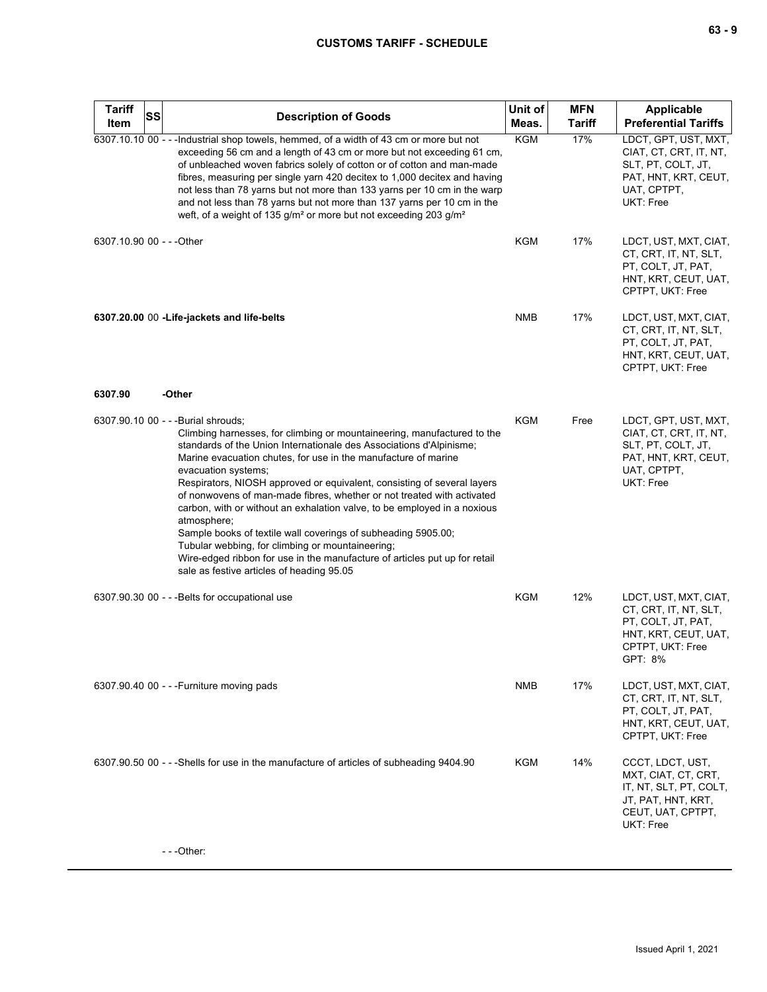# **CUSTOMS TARIFF - SCHEDULE**

| <b>Tariff</b>             | SS<br><b>Description of Goods</b> |                                                                                                                                                                                                                                                                                                                                                                                                                                                                                                                                                                                                                                                                                                                                                                                | Unit of    | <b>MFN</b>    | <b>Applicable</b>                                                                                                           |
|---------------------------|-----------------------------------|--------------------------------------------------------------------------------------------------------------------------------------------------------------------------------------------------------------------------------------------------------------------------------------------------------------------------------------------------------------------------------------------------------------------------------------------------------------------------------------------------------------------------------------------------------------------------------------------------------------------------------------------------------------------------------------------------------------------------------------------------------------------------------|------------|---------------|-----------------------------------------------------------------------------------------------------------------------------|
| Item                      |                                   |                                                                                                                                                                                                                                                                                                                                                                                                                                                                                                                                                                                                                                                                                                                                                                                | Meas.      | <b>Tariff</b> | <b>Preferential Tariffs</b>                                                                                                 |
|                           |                                   | 6307.10.10 00 - - - Industrial shop towels, hemmed, of a width of 43 cm or more but not<br>exceeding 56 cm and a length of 43 cm or more but not exceeding 61 cm,<br>of unbleached woven fabrics solely of cotton or of cotton and man-made<br>fibres, measuring per single yarn 420 decitex to 1,000 decitex and having<br>not less than 78 yarns but not more than 133 yarns per 10 cm in the warp<br>and not less than 78 yarns but not more than 137 yarns per 10 cm in the<br>weft, of a weight of 135 g/m <sup>2</sup> or more but not exceeding 203 g/m <sup>2</sup>                                                                                                                                                                                                    | KGM        | 17%           | LDCT, GPT, UST, MXT,<br>CIAT, CT, CRT, IT, NT,<br>SLT, PT, COLT, JT,<br>PAT, HNT, KRT, CEUT,<br>UAT, CPTPT,<br>UKT: Free    |
| 6307.10.90 00 - - - Other |                                   |                                                                                                                                                                                                                                                                                                                                                                                                                                                                                                                                                                                                                                                                                                                                                                                | KGM        | 17%           | LDCT, UST, MXT, CIAT,<br>CT, CRT, IT, NT, SLT,<br>PT, COLT, JT, PAT,<br>HNT, KRT, CEUT, UAT,<br>CPTPT, UKT: Free            |
|                           |                                   | 6307.20.00 00 - Life-jackets and life-belts                                                                                                                                                                                                                                                                                                                                                                                                                                                                                                                                                                                                                                                                                                                                    | <b>NMB</b> | 17%           | LDCT, UST, MXT, CIAT,<br>CT, CRT, IT, NT, SLT,<br>PT, COLT, JT, PAT,<br>HNT, KRT, CEUT, UAT,<br>CPTPT, UKT: Free            |
| 6307.90                   |                                   | -Other                                                                                                                                                                                                                                                                                                                                                                                                                                                                                                                                                                                                                                                                                                                                                                         |            |               |                                                                                                                             |
|                           |                                   | 6307.90.10 00 - - - Burial shrouds;<br>Climbing harnesses, for climbing or mountaineering, manufactured to the<br>standards of the Union Internationale des Associations d'Alpinisme;<br>Marine evacuation chutes, for use in the manufacture of marine<br>evacuation systems;<br>Respirators, NIOSH approved or equivalent, consisting of several layers<br>of nonwovens of man-made fibres, whether or not treated with activated<br>carbon, with or without an exhalation valve, to be employed in a noxious<br>atmosphere;<br>Sample books of textile wall coverings of subheading 5905.00;<br>Tubular webbing, for climbing or mountaineering;<br>Wire-edged ribbon for use in the manufacture of articles put up for retail<br>sale as festive articles of heading 95.05 | <b>KGM</b> | Free          | LDCT, GPT, UST, MXT,<br>CIAT, CT, CRT, IT, NT,<br>SLT, PT, COLT, JT,<br>PAT, HNT, KRT, CEUT,<br>UAT, CPTPT,<br>UKT: Free    |
|                           |                                   | 6307.90.30 00 - - - Belts for occupational use                                                                                                                                                                                                                                                                                                                                                                                                                                                                                                                                                                                                                                                                                                                                 | KGM        | 12%           | LDCT, UST, MXT, CIAT,<br>CT, CRT, IT, NT, SLT,<br>PT, COLT, JT, PAT,<br>HNT, KRT, CEUT, UAT,<br>CPTPT, UKT: Free<br>GPT: 8% |
|                           |                                   | 6307.90.40 00 - - - Furniture moving pads                                                                                                                                                                                                                                                                                                                                                                                                                                                                                                                                                                                                                                                                                                                                      | <b>NMB</b> | 17%           | LDCT, UST, MXT, CIAT,<br>CT, CRT, IT, NT, SLT,<br>PT, COLT, JT, PAT,<br>HNT, KRT, CEUT, UAT,<br>CPTPT, UKT: Free            |
|                           |                                   | 6307.90.50 00 - - - Shells for use in the manufacture of articles of subheading 9404.90                                                                                                                                                                                                                                                                                                                                                                                                                                                                                                                                                                                                                                                                                        | <b>KGM</b> | 14%           | CCCT, LDCT, UST,<br>MXT, CIAT, CT, CRT,<br>IT, NT, SLT, PT, COLT,<br>JT, PAT, HNT, KRT,<br>CEUT, UAT, CPTPT,<br>UKT: Free   |
|                           |                                   | ---Other:                                                                                                                                                                                                                                                                                                                                                                                                                                                                                                                                                                                                                                                                                                                                                                      |            |               |                                                                                                                             |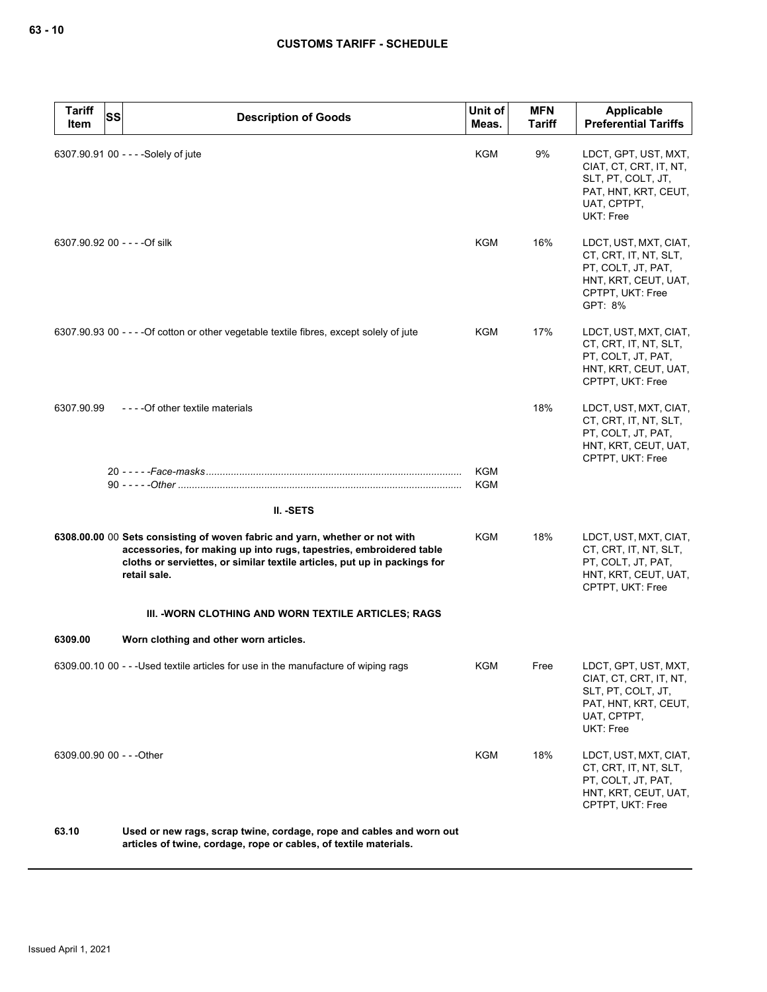| <b>Tariff</b><br>Item | <b>SS</b><br><b>Description of Goods</b>                                                                                                                                                                                                        | Unit of<br>Meas. | <b>MFN</b><br><b>Tariff</b> | Applicable<br><b>Preferential Tariffs</b>                                                                                   |
|-----------------------|-------------------------------------------------------------------------------------------------------------------------------------------------------------------------------------------------------------------------------------------------|------------------|-----------------------------|-----------------------------------------------------------------------------------------------------------------------------|
|                       | 6307.90.91 00 - - - - Solely of jute                                                                                                                                                                                                            | KGM              | 9%                          | LDCT, GPT, UST, MXT,<br>CIAT, CT, CRT, IT, NT,<br>SLT, PT, COLT, JT,<br>PAT, HNT, KRT, CEUT,<br>UAT, CPTPT,<br>UKT: Free    |
|                       | 6307.90.92 00 - - - - Of silk                                                                                                                                                                                                                   | KGM              | 16%                         | LDCT, UST, MXT, CIAT,<br>CT, CRT, IT, NT, SLT,<br>PT, COLT, JT, PAT,<br>HNT, KRT, CEUT, UAT,<br>CPTPT, UKT: Free<br>GPT: 8% |
|                       | 6307.90.93 00 - - - - Of cotton or other vegetable textile fibres, except solely of jute                                                                                                                                                        | KGM              | 17%                         | LDCT, UST, MXT, CIAT,<br>CT, CRT, IT, NT, SLT,<br>PT, COLT, JT, PAT,<br>HNT, KRT, CEUT, UAT,<br>CPTPT, UKT: Free            |
| 6307.90.99            | ---- Of other textile materials                                                                                                                                                                                                                 |                  | 18%                         | LDCT, UST, MXT, CIAT,<br>CT, CRT, IT, NT, SLT,<br>PT, COLT, JT, PAT,<br>HNT, KRT, CEUT, UAT,<br>CPTPT, UKT: Free            |
|                       |                                                                                                                                                                                                                                                 | KGM<br>KGM       |                             |                                                                                                                             |
|                       | II. - SETS                                                                                                                                                                                                                                      |                  |                             |                                                                                                                             |
|                       | 6308.00.00 00 Sets consisting of woven fabric and yarn, whether or not with<br>accessories, for making up into rugs, tapestries, embroidered table<br>cloths or serviettes, or similar textile articles, put up in packings for<br>retail sale. | <b>KGM</b>       | 18%                         | LDCT, UST, MXT, CIAT,<br>CT, CRT, IT, NT, SLT,<br>PT, COLT, JT, PAT,<br>HNT, KRT, CEUT, UAT,<br>CPTPT, UKT: Free            |
|                       | III. -WORN CLOTHING AND WORN TEXTILE ARTICLES; RAGS                                                                                                                                                                                             |                  |                             |                                                                                                                             |
| 6309.00               | Worn clothing and other worn articles.                                                                                                                                                                                                          |                  |                             |                                                                                                                             |
|                       | 6309.00.10 00 - - - Used textile articles for use in the manufacture of wiping rags                                                                                                                                                             | KGM              | Free                        | LDCT, GPT, UST, MXT,<br>CIAT, CT, CRT, IT, NT,<br>SLT, PT, COLT, JT,<br>PAT, HNT, KRT, CEUT,<br>UAT, CPTPT,<br>UKT: Free    |
|                       | 6309.00.90 00 - - - Other                                                                                                                                                                                                                       | <b>KGM</b>       | 18%                         | LDCT, UST, MXT, CIAT,<br>CT, CRT, IT, NT, SLT,<br>PT, COLT, JT, PAT,<br>HNT, KRT, CEUT, UAT,<br>CPTPT, UKT: Free            |
| 63.10                 | Used or new rags, scrap twine, cordage, rope and cables and worn out<br>articles of twine, cordage, rope or cables, of textile materials.                                                                                                       |                  |                             |                                                                                                                             |